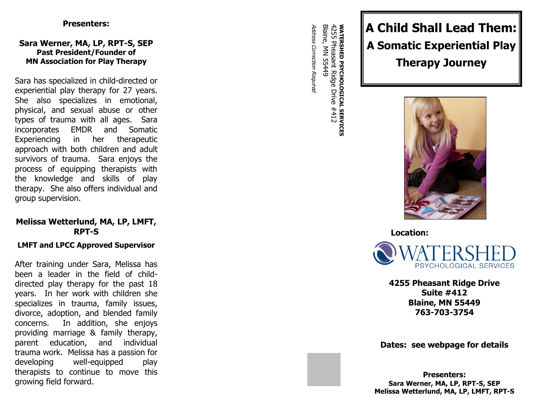### **Presenters:**

### Sara Werner, MA, LP, RPT-S, SEP **Past President/Founder of MN Association for Play Therapy**

Sara has specialized in child -directed or experiential play therapy for 2 7 years. She also specializes in emotional, physical, and sexual abuse or other types of trauma with all ages. Sara incorporates EMDR and Somatic Experiencing in her therapeutic approach with both children and adult survivors of trauma. Sara enjoys the process of equipping therapists with the knowledge and skills of play therapy. She also offers individual and group supervision.

## **Melissa Wetterlund, MA, LP, LMFT, RPT - S**

### **LMFT and LPCC Approved Supervisor**

After training under Sara, Melissa has been a leader in the field of child dire cted play therapy for the past 1 8 years. In her work with children she specializes in trauma, family issues, divorce, adoption, and blended family concerns. In addition, she enjoys providing marriage & family therapy, parent education, and individual trauma work. Melissa has a passion for developing well-equipped play therapists to continue to move this growing field forward.

Address Correction Required Address Correction Requirea

**WATERSHED PSYCHOLOGICAL SERVICES**<br>4255 Pheasant Ridge Drive #412<br>Blaine, MN 55449 Blaine, MN 55449 4255 Pheasant **WATERSHED PSYCHOLOGICAL SERVICES** Ridge Drive #412

# **A Child Shall Lead Them: A Somatic Experiential Play Therapy Journey**



**Location:**



**4255 Pheasant Ridge Drive Suite #412 Blaine, MN 55449 763 -703 -3754**

**Dates: see webpage for details**

**Presenters:** Sara Werner, MA, LP, RPT-S, SEP **Melissa Wetterlund, MA, LP, LMFT, RPT - S**